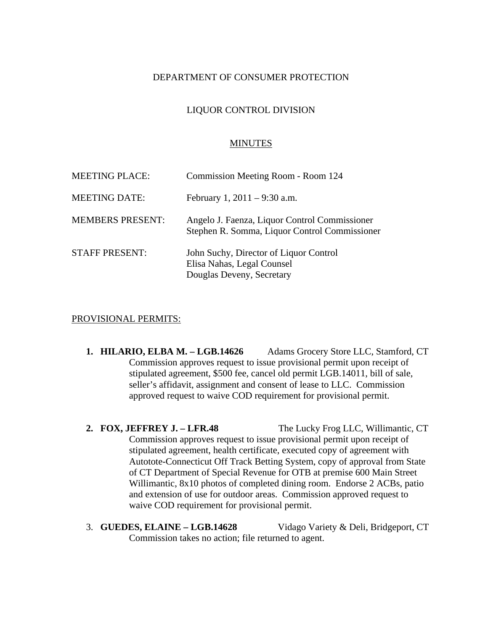# DEPARTMENT OF CONSUMER PROTECTION

# LIQUOR CONTROL DIVISION

#### MINUTES

| <b>MEETING PLACE:</b>   | Commission Meeting Room - Room 124                                                                |
|-------------------------|---------------------------------------------------------------------------------------------------|
| <b>MEETING DATE:</b>    | February 1, $2011 - 9:30$ a.m.                                                                    |
| <b>MEMBERS PRESENT:</b> | Angelo J. Faenza, Liquor Control Commissioner<br>Stephen R. Somma, Liquor Control Commissioner    |
| <b>STAFF PRESENT:</b>   | John Suchy, Director of Liquor Control<br>Elisa Nahas, Legal Counsel<br>Douglas Deveny, Secretary |

### PROVISIONAL PERMITS:

- **1. HILARIO, ELBA M. LGB.14626** Adams Grocery Store LLC, Stamford, CT Commission approves request to issue provisional permit upon receipt of stipulated agreement, \$500 fee, cancel old permit LGB.14011, bill of sale, seller's affidavit, assignment and consent of lease to LLC. Commission approved request to waive COD requirement for provisional permit.
- **2. FOX, JEFFREY J. LFR.48** The Lucky Frog LLC, Willimantic, CT Commission approves request to issue provisional permit upon receipt of stipulated agreement, health certificate, executed copy of agreement with Autotote-Connecticut Off Track Betting System, copy of approval from State of CT Department of Special Revenue for OTB at premise 600 Main Street Willimantic, 8x10 photos of completed dining room. Endorse 2 ACBs, patio and extension of use for outdoor areas. Commission approved request to waive COD requirement for provisional permit.
- 3. **GUEDES, ELAINE LGB.14628** Vidago Variety & Deli, Bridgeport, CT Commission takes no action; file returned to agent.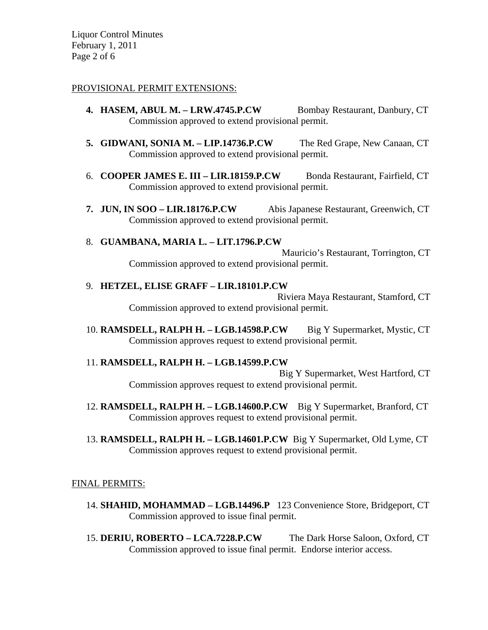Liquor Control Minutes February 1, 2011 Page 2 of 6

# PROVISIONAL PERMIT EXTENSIONS:

- **4. HASEM, ABUL M. LRW.4745.P.CW** Bombay Restaurant, Danbury, CT Commission approved to extend provisional permit.
- **5. GIDWANI, SONIA M. LIP.14736.P.CW** The Red Grape, New Canaan, CT Commission approved to extend provisional permit.
- 6. **COOPER JAMES E. III LIR.18159.P.CW** Bonda Restaurant, Fairfield, CT Commission approved to extend provisional permit.
- **7. JUN, IN SOO LIR.18176.P.CW** Abis Japanese Restaurant, Greenwich, CT Commission approved to extend provisional permit.

# 8. **GUAMBANA, MARIA L. – LIT.1796.P.CW**

Mauricio's Restaurant, Torrington, CT Commission approved to extend provisional permit.

### 9. **HETZEL, ELISE GRAFF – LIR.18101.P.CW**

Riviera Maya Restaurant, Stamford, CT Commission approved to extend provisional permit.

10. **RAMSDELL, RALPH H. – LGB.14598.P.CW** Big Y Supermarket, Mystic, CT Commission approves request to extend provisional permit.

# 11. **RAMSDELL, RALPH H. – LGB.14599.P.CW**

Big Y Supermarket, West Hartford, CT Commission approves request to extend provisional permit.

- 12. **RAMSDELL, RALPH H. LGB.14600.P.CW** Big Y Supermarket, Branford, CT Commission approves request to extend provisional permit.
- 13. **RAMSDELL, RALPH H. LGB.14601.P.CW** Big Y Supermarket, Old Lyme, CT Commission approves request to extend provisional permit.

# FINAL PERMITS:

- 14. **SHAHID, MOHAMMAD LGB.14496.P** 123 Convenience Store, Bridgeport, CT Commission approved to issue final permit.
- 15. **DERIU, ROBERTO LCA.7228.P.CW** The Dark Horse Saloon, Oxford, CT Commission approved to issue final permit. Endorse interior access.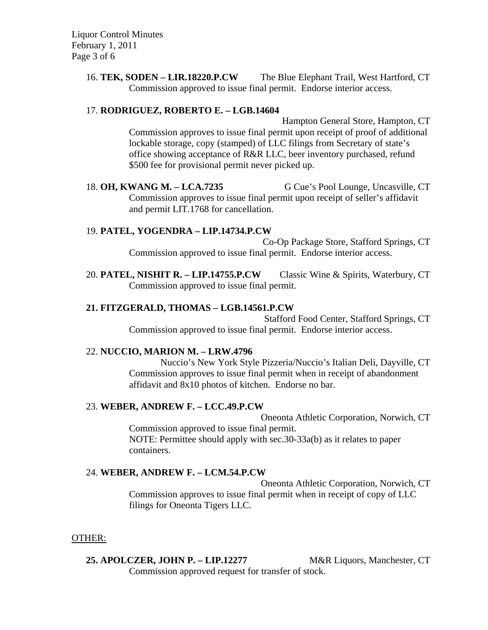16. **TEK, SODEN – LIR.18220.P.CW** The Blue Elephant Trail, West Hartford, CT Commission approved to issue final permit. Endorse interior access.

# 17. **RODRIGUEZ, ROBERTO E. – LGB.14604**

Hampton General Store, Hampton, CT Commission approves to issue final permit upon receipt of proof of additional lockable storage, copy (stamped) of LLC filings from Secretary of state's office showing acceptance of R&R LLC, beer inventory purchased, refund \$500 fee for provisional permit never picked up.

18. **OH, KWANG M. – LCA.7235** G Cue's Pool Lounge, Uncasville, CT Commission approves to issue final permit upon receipt of seller's affidavit and permit LIT.1768 for cancellation.

# 19. **PATEL, YOGENDRA – LIP.14734.P.CW**

Co-Op Package Store, Stafford Springs, CT Commission approved to issue final permit. Endorse interior access.

20. **PATEL, NISHIT R. – LIP.14755.P.CW** Classic Wine & Spirits, Waterbury, CT Commission approved to issue final permit.

# **21. FITZGERALD, THOMAS – LGB.14561.P.CW**

Stafford Food Center, Stafford Springs, CT Commission approved to issue final permit. Endorse interior access.

## 22. **NUCCIO, MARION M. – LRW.4796**

Nuccio's New York Style Pizzeria/Nuccio's Italian Deli, Dayville, CT Commission approves to issue final permit when in receipt of abandonment affidavit and 8x10 photos of kitchen. Endorse no bar.

# 23. **WEBER, ANDREW F. – LCC.49.P.CW**

Oneonta Athletic Corporation, Norwich, CT Commission approved to issue final permit. NOTE: Permittee should apply with sec.30-33a(b) as it relates to paper containers.

# 24. **WEBER, ANDREW F. – LCM.54.P.CW**

Oneonta Athletic Corporation, Norwich, CT Commission approves to issue final permit when in receipt of copy of LLC filings for Oneonta Tigers LLC.

#### OTHER:

# **25. APOLCZER, JOHN P. – LIP.12277** M&R Liquors, Manchester, CT

Commission approved request for transfer of stock.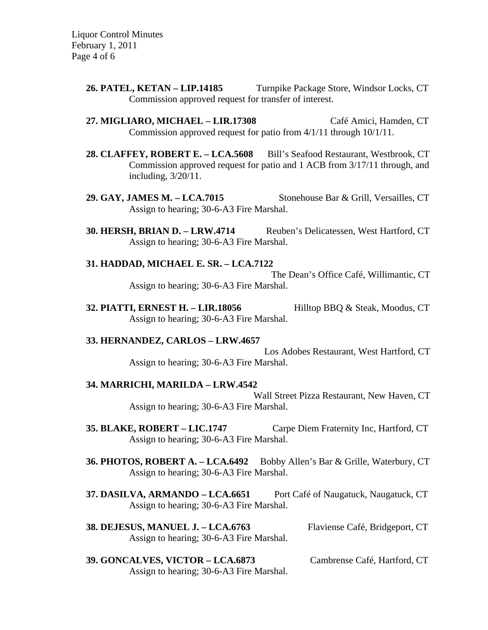Liquor Control Minutes February 1, 2011 Page 4 of 6

- **26. PATEL, KETAN LIP.14185** Turnpike Package Store, Windsor Locks, CT Commission approved request for transfer of interest.
- **27. MIGLIARO, MICHAEL LIR.17308** Café Amici, Hamden, CT Commission approved request for patio from 4/1/11 through 10/1/11.
- **28. CLAFFEY, ROBERT E. LCA.5608** Bill's Seafood Restaurant, Westbrook, CT Commission approved request for patio and 1 ACB from 3/17/11 through, and including, 3/20/11.
- **29. GAY, JAMES M. LCA.7015** Stonehouse Bar & Grill, Versailles, CT Assign to hearing; 30-6-A3 Fire Marshal.
- **30. HERSH, BRIAN D. LRW.4714** Reuben's Delicatessen, West Hartford, CT Assign to hearing; 30-6-A3 Fire Marshal.

# **31. HADDAD, MICHAEL E. SR. – LCA.7122**

The Dean's Office Café, Willimantic, CT Assign to hearing; 30-6-A3 Fire Marshal.

**32. PIATTI, ERNEST H. – LIR.18056** Hilltop BBQ & Steak, Moodus, CT Assign to hearing; 30-6-A3 Fire Marshal.

#### **33. HERNANDEZ, CARLOS – LRW.4657**

Los Adobes Restaurant, West Hartford, CT Assign to hearing; 30-6-A3 Fire Marshal.

#### **34. MARRICHI, MARILDA – LRW.4542**

Wall Street Pizza Restaurant, New Haven, CT Assign to hearing; 30-6-A3 Fire Marshal.

- **35. BLAKE, ROBERT LIC.1747** Carpe Diem Fraternity Inc, Hartford, CT Assign to hearing; 30-6-A3 Fire Marshal.
- **36. PHOTOS, ROBERT A. LCA.6492** Bobby Allen's Bar & Grille, Waterbury, CT Assign to hearing; 30-6-A3 Fire Marshal.
- **37. DASILVA, ARMANDO LCA.6651** Port Café of Naugatuck, Naugatuck, CT Assign to hearing; 30-6-A3 Fire Marshal.
- **38. DEJESUS, MANUEL J. LCA.6763** Flaviense Café, Bridgeport, CT Assign to hearing; 30-6-A3 Fire Marshal.
	-
- **39. GONCALVES, VICTOR LCA.6873** Cambrense Café, Hartford, CT Assign to hearing; 30-6-A3 Fire Marshal.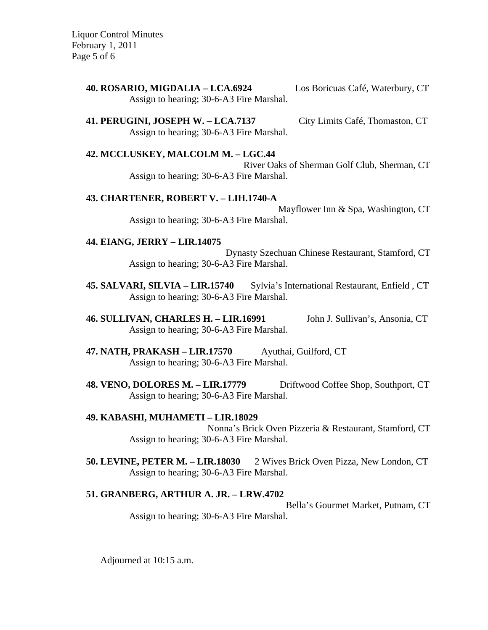Liquor Control Minutes February 1, 2011 Page 5 of 6

> **40. ROSARIO, MIGDALIA – LCA.6924** Los Boricuas Café, Waterbury, CT Assign to hearing; 30-6-A3 Fire Marshal.

> **41. PERUGINI, JOSEPH W. – LCA.7137** City Limits Café, Thomaston, CT Assign to hearing; 30-6-A3 Fire Marshal.

> **42. MCCLUSKEY, MALCOLM M. – LGC.44** River Oaks of Sherman Golf Club, Sherman, CT Assign to hearing; 30-6-A3 Fire Marshal.

### **43. CHARTENER, ROBERT V. – LIH.1740-A**

Mayflower Inn & Spa, Washington, CT Assign to hearing; 30-6-A3 Fire Marshal.

### **44. EIANG, JERRY – LIR.14075**

Dynasty Szechuan Chinese Restaurant, Stamford, CT Assign to hearing; 30-6-A3 Fire Marshal.

**45. SALVARI, SILVIA – LIR.15740** Sylvia's International Restaurant, Enfield , CT Assign to hearing; 30-6-A3 Fire Marshal.

**46. SULLIVAN, CHARLES H. – LIR.16991** John J. Sullivan's, Ansonia, CT Assign to hearing; 30-6-A3 Fire Marshal.

- **47. NATH, PRAKASH LIR.17570** Ayuthai, Guilford, CT Assign to hearing; 30-6-A3 Fire Marshal.
- **48. VENO, DOLORES M. LIR.17779** Driftwood Coffee Shop, Southport, CT Assign to hearing; 30-6-A3 Fire Marshal.
- **49. KABASHI, MUHAMETI LIR.18029** Nonna's Brick Oven Pizzeria & Restaurant, Stamford, CT Assign to hearing; 30-6-A3 Fire Marshal.
- **50. LEVINE, PETER M. LIR.18030** 2 Wives Brick Oven Pizza, New London, CT Assign to hearing; 30-6-A3 Fire Marshal.

# **51. GRANBERG, ARTHUR A. JR. – LRW.4702**

Bella's Gourmet Market, Putnam, CT Assign to hearing; 30-6-A3 Fire Marshal.

Adjourned at 10:15 a.m.